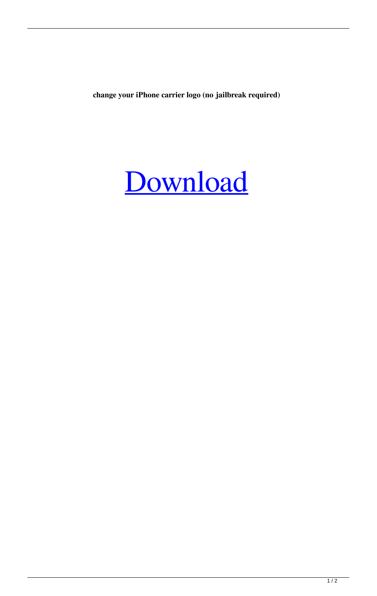**change your iPhone carrier logo (no jailbreak required)**